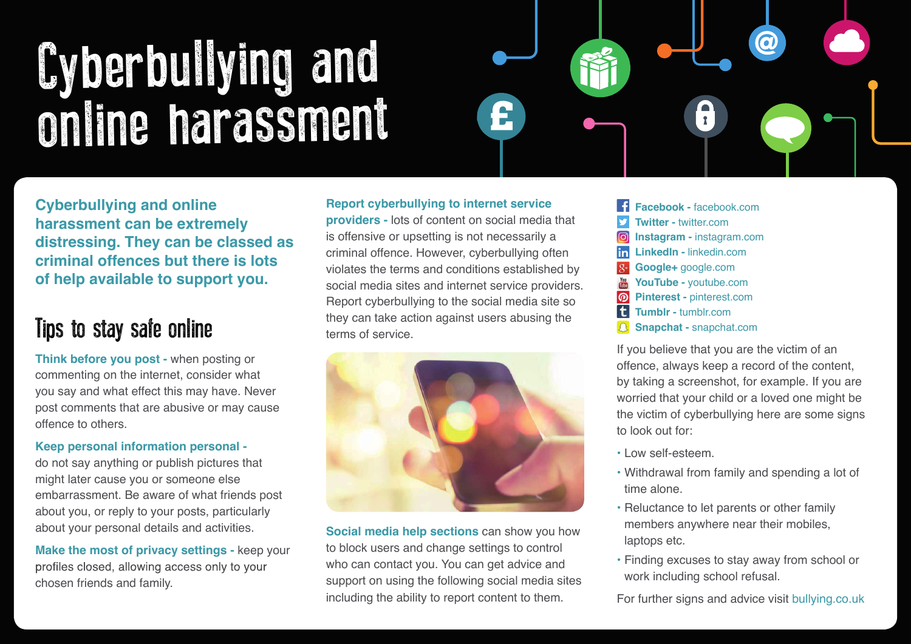# Cyberbullying and online harassment



**Cyberbullying and online harassment can be extremely distressing. They can be classed as criminal offences but there is lots of help available to support you.**

### Tips to stay safe online

**Think before you post -** when posting or commenting on the internet, consider what you say and what effect this may have. Never post comments that are abusive or may cause offence to others.

#### **Keep personal information personal -**

do not say anything or publish pictures that might later cause you or someone else embarrassment. Be aware of what friends post about you, or reply to your posts, particularly about your personal details and activities.

**Make the most of privacy settings - keep your** profiles closed, allowing access only to your chosen friends and family.

**Report cyberbullying to internet service providers -** lots of content on social media that is offensive or upsetting is not necessarily a criminal offence. However, cyberbullying often violates the terms and conditions established by social media sites and internet service providers. Report cyberbullying to the social media site so they can take action against users abusing the terms of service.



**Social media help sections** can show you how to block users and change settings to control who can contact you. You can get advice and support on using the following social media sites including the ability to report content to them.

 **Facebook -** facebook.com v  **Twitter -** twitter.com  $\boxed{\textcircled{\;}}$  **Instagram -** instagram.com  **LinkedIn -** linkedin.com  $\overline{Q}$  **Google+** google.com You  **YouTube -** youtube.com  **Pinterest -** pinterest.com  **Tumblr -** tumblr.com  **Snapchat -** snapchat.com

If you believe that you are the victim of an offence, always keep a record of the content, by taking a screenshot, for example. If you are worried that your child or a loved one might be the victim of cyberbullying here are some signs to look out for:

- Low self-esteem.
- Withdrawal from family and spending a lot of time alone.
- Reluctance to let parents or other family members anywhere near their mobiles, laptops etc.
- Finding excuses to stay away from school or work including school refusal.

For further signs and advice visit bullying.co.uk